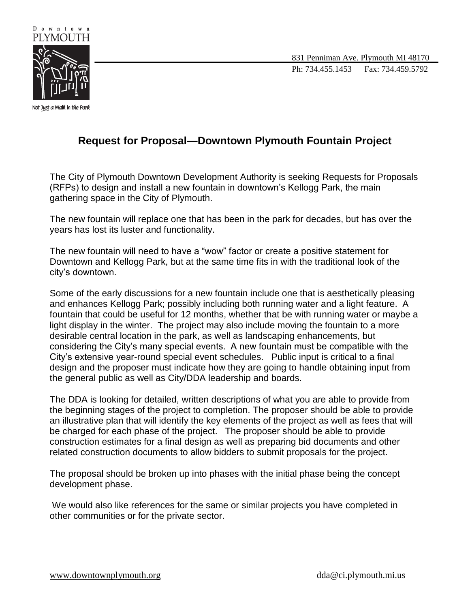

831 Penniman Ave. Plymouth MI 48170 Ph: 734.455.1453 Fax: 734.459.5792

## **Request for Proposal—Downtown Plymouth Fountain Project**

The City of Plymouth Downtown Development Authority is seeking Requests for Proposals (RFPs) to design and install a new fountain in downtown's Kellogg Park, the main gathering space in the City of Plymouth.

The new fountain will replace one that has been in the park for decades, but has over the years has lost its luster and functionality.

The new fountain will need to have a "wow" factor or create a positive statement for Downtown and Kellogg Park, but at the same time fits in with the traditional look of the city's downtown.

Some of the early discussions for a new fountain include one that is aesthetically pleasing and enhances Kellogg Park; possibly including both running water and a light feature. A fountain that could be useful for 12 months, whether that be with running water or maybe a light display in the winter. The project may also include moving the fountain to a more desirable central location in the park, as well as landscaping enhancements, but considering the City's many special events. A new fountain must be compatible with the City's extensive year-round special event schedules. Public input is critical to a final design and the proposer must indicate how they are going to handle obtaining input from the general public as well as City/DDA leadership and boards.

The DDA is looking for detailed, written descriptions of what you are able to provide from the beginning stages of the project to completion. The proposer should be able to provide an illustrative plan that will identify the key elements of the project as well as fees that will be charged for each phase of the project. The proposer should be able to provide construction estimates for a final design as well as preparing bid documents and other related construction documents to allow bidders to submit proposals for the project.

The proposal should be broken up into phases with the initial phase being the concept development phase.

We would also like references for the same or similar projects you have completed in other communities or for the private sector.